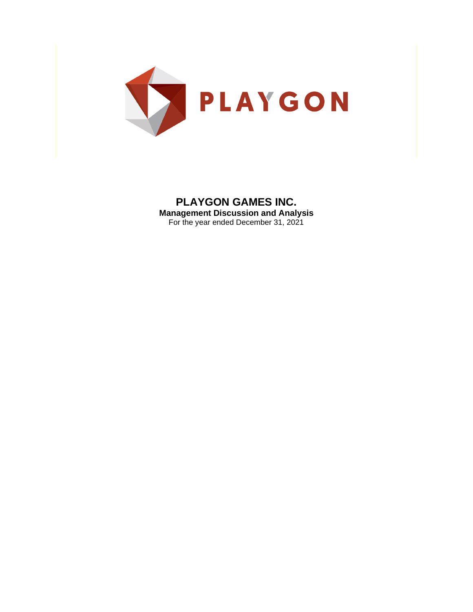

# **PLAYGON GAMES INC.**

**Management Discussion and Analysis** For the year ended December 31, 2021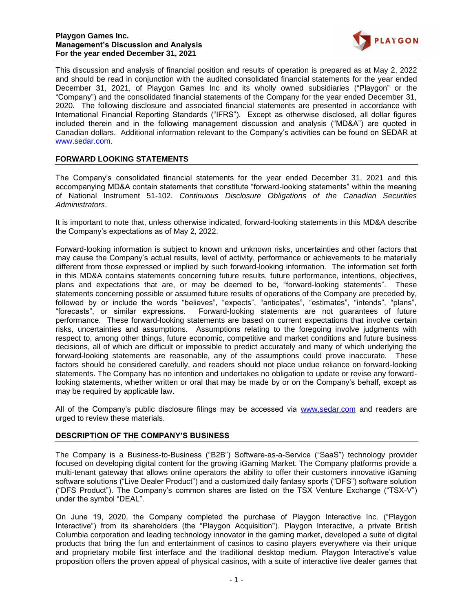

This discussion and analysis of financial position and results of operation is prepared as at May 2, 2022 and should be read in conjunction with the audited consolidated financial statements for the year ended December 31, 2021, of Playgon Games Inc and its wholly owned subsidiaries ("Playgon" or the "Company") and the consolidated financial statements of the Company for the year ended December 31, 2020. The following disclosure and associated financial statements are presented in accordance with International Financial Reporting Standards ("IFRS"). Except as otherwise disclosed, all dollar figures included therein and in the following management discussion and analysis ("MD&A") are quoted in Canadian dollars. Additional information relevant to the Company's activities can be found on SEDAR at www.sedar.com.

# **FORWARD LOOKING STATEMENTS**

The Company's consolidated financial statements for the year ended December 31, 2021 and this accompanying MD&A contain statements that constitute "forward-looking statements" within the meaning of National Instrument 51-102. *Continuous Disclosure Obligations of the Canadian Securities Administrators*.

It is important to note that, unless otherwise indicated, forward-looking statements in this MD&A describe the Company's expectations as of May 2, 2022.

Forward-looking information is subject to known and unknown risks, uncertainties and other factors that may cause the Company's actual results, level of activity, performance or achievements to be materially different from those expressed or implied by such forward-looking information. The information set forth in this MD&A contains statements concerning future results, future performance, intentions, objectives, plans and expectations that are, or may be deemed to be, "forward-looking statements". These statements concerning possible or assumed future results of operations of the Company are preceded by, followed by or include the words "believes", "expects", "anticipates", "estimates", "intends", "plans", "forecasts", or similar expressions. Forward-looking statements are not guarantees of future performance. These forward-looking statements are based on current expectations that involve certain risks, uncertainties and assumptions. Assumptions relating to the foregoing involve judgments with respect to, among other things, future economic, competitive and market conditions and future business decisions, all of which are difficult or impossible to predict accurately and many of which underlying the forward-looking statements are reasonable, any of the assumptions could prove inaccurate. These factors should be considered carefully, and readers should not place undue reliance on forward-looking statements. The Company has no intention and undertakes no obligation to update or revise any forwardlooking statements, whether written or oral that may be made by or on the Company's behalf, except as may be required by applicable law.

All of the Company's public disclosure filings may be accessed via [www.sedar.com](http://www.sedar.com/) and readers are urged to review these materials.

## **DESCRIPTION OF THE COMPANY'S BUSINESS**

The Company is a Business-to-Business ("B2B") Software-as-a-Service ("SaaS") technology provider focused on developing digital content for the growing iGaming Market. The Company platforms provide a multi-tenant gateway that allows online operators the ability to offer their customers innovative iGaming software solutions ("Live Dealer Product") and a customized daily fantasy sports ("DFS") software solution ("DFS Product"). The Company's common shares are listed on the TSX Venture Exchange ("TSX-V") under the symbol "DEAL".

On June 19, 2020, the Company completed the purchase of Playgon Interactive Inc. ("Playgon Interactive") from its shareholders (the "Playgon Acquisition"). Playgon Interactive, a private British Columbia corporation and leading technology innovator in the gaming market, developed a suite of digital products that bring the fun and entertainment of casinos to casino players everywhere via their unique and proprietary mobile first interface and the traditional desktop medium. Playgon Interactive's value proposition offers the proven appeal of physical casinos, with a suite of interactive live dealer games that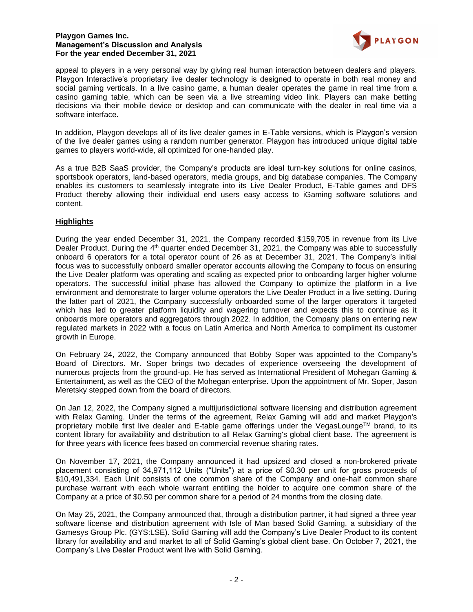

appeal to players in a very personal way by giving real human interaction between dealers and players. Playgon Interactive's proprietary live dealer technology is designed to operate in both real money and social gaming verticals. In a live casino game, a human dealer operates the game in real time from a casino gaming table, which can be seen via a live streaming video link. Players can make betting decisions via their mobile device or desktop and can communicate with the dealer in real time via a software interface.

In addition, Playgon develops all of its live dealer games in E-Table versions, which is Playgon's version of the live dealer games using a random number generator. Playgon has introduced unique digital table games to players world-wide, all optimized for one-handed play.

As a true B2B SaaS provider, the Company's products are ideal turn-key solutions for online casinos, sportsbook operators, land-based operators, media groups, and big database companies. The Company enables its customers to seamlessly integrate into its Live Dealer Product, E-Table games and DFS Product thereby allowing their individual end users easy access to iGaming software solutions and content.

# **Highlights**

During the year ended December 31, 2021, the Company recorded \$159,705 in revenue from its Live Dealer Product. During the 4<sup>th</sup> quarter ended December 31, 2021, the Company was able to successfully onboard 6 operators for a total operator count of 26 as at December 31, 2021. The Company's initial focus was to successfully onboard smaller operator accounts allowing the Company to focus on ensuring the Live Dealer platform was operating and scaling as expected prior to onboarding larger higher volume operators. The successful initial phase has allowed the Company to optimize the platform in a live environment and demonstrate to larger volume operators the Live Dealer Product in a live setting. During the latter part of 2021, the Company successfully onboarded some of the larger operators it targeted which has led to greater platform liquidity and wagering turnover and expects this to continue as it onboards more operators and aggregators through 2022. In addition, the Company plans on entering new regulated markets in 2022 with a focus on Latin America and North America to compliment its customer growth in Europe.

On February 24, 2022, the Company announced that Bobby Soper was appointed to the Company's Board of Directors. Mr. Soper brings two decades of experience overseeing the development of numerous projects from the ground-up. He has served as International President of Mohegan Gaming & Entertainment, as well as the CEO of the Mohegan enterprise. Upon the appointment of Mr. Soper, Jason Meretsky stepped down from the board of directors.

On Jan 12, 2022, the Company signed a multijurisdictional software licensing and distribution agreement with Relax Gaming. Under the terms of the agreement, Relax Gaming will add and market Playgon's proprietary mobile first live dealer and E-table game offerings under the VegasLounge™ brand, to its content library for availability and distribution to all Relax Gaming's global client base. The agreement is for three years with licence fees based on commercial revenue sharing rates.

On November 17, 2021, the Company announced it had upsized and closed a non-brokered private placement consisting of 34,971,112 Units ("Units") at a price of \$0.30 per unit for gross proceeds of \$10,491,334. Each Unit consists of one common share of the Company and one-half common share purchase warrant with each whole warrant entitling the holder to acquire one common share of the Company at a price of \$0.50 per common share for a period of 24 months from the closing date.

On May 25, 2021, the Company announced that, through a distribution partner, it had signed a three year software license and distribution agreement with Isle of Man based Solid Gaming, a subsidiary of the Gamesys Group Plc. (GYS:LSE). Solid Gaming will add the Company's Live Dealer Product to its content library for availability and and market to all of Solid Gaming's global client base. On October 7, 2021, the Company's Live Dealer Product went live with Solid Gaming.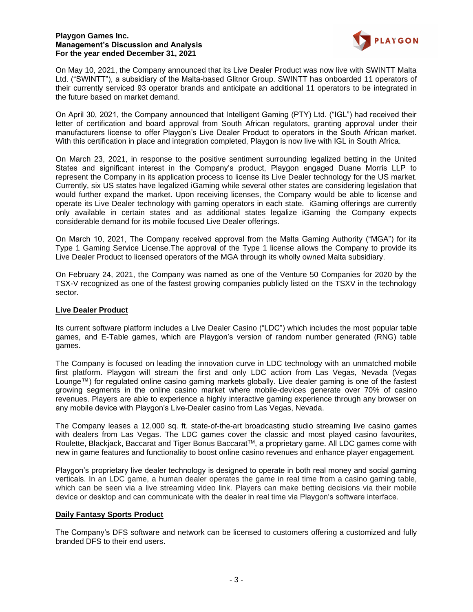

On May 10, 2021, the Company announced that its Live Dealer Product was now live with SWINTT Malta Ltd. ("SWINTT"), a subsidiary of the Malta-based Glitnor Group. SWINTT has onboarded 11 operators of their currently serviced 93 operator brands and anticipate an additional 11 operators to be integrated in the future based on market demand.

On April 30, 2021, the Company announced that Intelligent Gaming (PTY) Ltd. ("IGL") had received their letter of certification and board approval from South African regulators, granting approval under their manufacturers license to offer Playgon's Live Dealer Product to operators in the South African market. With this certification in place and integration completed, Playgon is now live with IGL in South Africa.

On March 23, 2021, in response to the positive sentiment surrounding legalized betting in the United States and significant interest in the Company's product, Playgon engaged Duane Morris LLP to represent the Company in its application process to license its Live Dealer technology for the US market. Currently, six US states have legalized iGaming while several other states are considering legislation that would further expand the market. Upon receiving licenses, the Company would be able to license and operate its Live Dealer technology with gaming operators in each state. iGaming offerings are currently only available in certain states and as additional states legalize iGaming the Company expects considerable demand for its mobile focused Live Dealer offerings.

On March 10, 2021, The Company received approval from the Malta Gaming Authority ("MGA") for its Type 1 Gaming Service License.The approval of the Type 1 license allows the Company to provide its Live Dealer Product to licensed operators of the MGA through its wholly owned Malta subsidiary.

On February 24, 2021, the Company was named as one of the Venture 50 Companies for 2020 by the TSX-V recognized as one of the fastest growing companies publicly listed on the TSXV in the technology sector.

# **Live Dealer Product**

Its current software platform includes a Live Dealer Casino ("LDC") which includes the most popular table games, and E-Table games, which are Playgon's version of random number generated (RNG) table games.

The Company is focused on leading the innovation curve in LDC technology with an unmatched mobile first platform. Playgon will stream the first and only LDC action from Las Vegas, Nevada (Vegas Lounge™) for regulated online casino gaming markets globally. Live dealer gaming is one of the fastest growing segments in the online casino market where mobile-devices generate over 70% of casino revenues. Players are able to experience a highly interactive gaming experience through any browser on any mobile device with Playgon's Live-Dealer casino from Las Vegas, Nevada.

The Company leases a 12,000 sq. ft. state-of-the-art broadcasting studio streaming live casino games with dealers from Las Vegas. The LDC games cover the classic and most played casino favourites, Roulette, Blackjack, Baccarat and Tiger Bonus BaccaratTM, a proprietary game. All LDC games come with new in game features and functionality to boost online casino revenues and enhance player engagement.

Playgon's proprietary live dealer technology is designed to operate in both real money and social gaming verticals. In an LDC game, a human dealer operates the game in real time from a casino gaming table, which can be seen via a live streaming video link. Players can make betting decisions via their mobile device or desktop and can communicate with the dealer in real time via Playgon's software interface.

## **Daily Fantasy Sports Product**

The Company's DFS software and network can be licensed to customers offering a customized and fully branded DFS to their end users.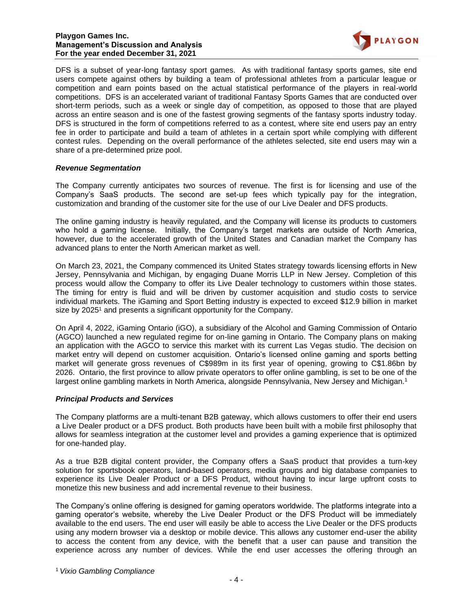

DFS is a subset of year-long fantasy sport games. As with traditional fantasy sports games, site end users compete against others by building a team of professional athletes from a particular league or competition and earn points based on the actual statistical performance of the players in real-world competitions. DFS is an accelerated variant of traditional Fantasy Sports Games that are conducted over short-term periods, such as a week or single day of competition, as opposed to those that are played across an entire season and is one of the fastest growing segments of the fantasy sports industry today. DFS is structured in the form of competitions referred to as a contest, where site end users pay an entry fee in order to participate and build a team of athletes in a certain sport while complying with different contest rules. Depending on the overall performance of the athletes selected, site end users may win a share of a pre-determined prize pool.

# *Revenue Segmentation*

The Company currently anticipates two sources of revenue. The first is for licensing and use of the Company's SaaS products. The second are set-up fees which typically pay for the integration, customization and branding of the customer site for the use of our Live Dealer and DFS products.

The online gaming industry is heavily regulated, and the Company will license its products to customers who hold a gaming license. Initially, the Company's target markets are outside of North America, however, due to the accelerated growth of the United States and Canadian market the Company has advanced plans to enter the North American market as well.

On March 23, 2021, the Company commenced its United States strategy towards licensing efforts in New Jersey, Pennsylvania and Michigan, by engaging Duane Morris LLP in New Jersey. Completion of this process would allow the Company to offer its Live Dealer technology to customers within those states. The timing for entry is fluid and will be driven by customer acquisition and studio costs to service individual markets. The iGaming and Sport Betting industry is expected to exceed \$12.9 billion in market size by 2025<sup>1</sup> and presents a significant opportunity for the Company.

On April 4, 2022, iGaming Ontario (iGO), a subsidiary of the Alcohol and Gaming Commission of Ontario (AGCO) launched a new regulated regime for on-line gaming in Ontario. The Company plans on making an application with the AGCO to service this market with its current Las Vegas studio. The decision on market entry will depend on customer acquisition. Ontario's licensed online gaming and sports betting market will generate gross revenues of C\$989m in its first year of opening, growing to C\$1.86bn by 2026. Ontario, the first province to allow private operators to offer online gambling, is set to be one of the largest online gambling markets in North America, alongside Pennsylvania, New Jersey and Michigan.<sup>1</sup>

## *Principal Products and Services*

The Company platforms are a multi-tenant B2B gateway, which allows customers to offer their end users a Live Dealer product or a DFS product. Both products have been built with a mobile first philosophy that allows for seamless integration at the customer level and provides a gaming experience that is optimized for one-handed play.

As a true B2B digital content provider, the Company offers a SaaS product that provides a turn-key solution for sportsbook operators, land-based operators, media groups and big database companies to experience its Live Dealer Product or a DFS Product, without having to incur large upfront costs to monetize this new business and add incremental revenue to their business.

The Company's online offering is designed for gaming operators worldwide. The platforms integrate into a gaming operator's website, whereby the Live Dealer Product or the DFS Product will be immediately available to the end users. The end user will easily be able to access the Live Dealer or the DFS products using any modern browser via a desktop or mobile device. This allows any customer end-user the ability to access the content from any device, with the benefit that a user can pause and transition the experience across any number of devices. While the end user accesses the offering through an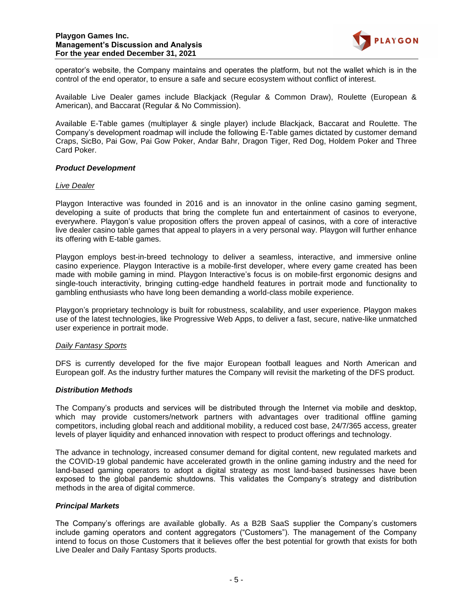

operator's website, the Company maintains and operates the platform, but not the wallet which is in the control of the end operator, to ensure a safe and secure ecosystem without conflict of interest.

Available Live Dealer games include Blackjack (Regular & Common Draw), Roulette (European & American), and Baccarat (Regular & No Commission).

Available E-Table games (multiplayer & single player) include Blackjack, Baccarat and Roulette. The Company's development roadmap will include the following E-Table games dictated by customer demand Craps, SicBo, Pai Gow, Pai Gow Poker, Andar Bahr, Dragon Tiger, Red Dog, Holdem Poker and Three Card Poker.

## *Product Development*

## *Live Dealer*

Playgon Interactive was founded in 2016 and is an innovator in the online casino gaming segment, developing a suite of products that bring the complete fun and entertainment of casinos to everyone, everywhere. Playgon's value proposition offers the proven appeal of casinos, with a core of interactive live dealer casino table games that appeal to players in a very personal way. Playgon will further enhance its offering with E-table games.

Playgon employs best-in-breed technology to deliver a seamless, interactive, and immersive online casino experience. Playgon Interactive is a mobile-first developer, where every game created has been made with mobile gaming in mind. Playgon Interactive's focus is on mobile-first ergonomic designs and single-touch interactivity, bringing cutting-edge handheld features in portrait mode and functionality to gambling enthusiasts who have long been demanding a world-class mobile experience.

Playgon's proprietary technology is built for robustness, scalability, and user experience. Playgon makes use of the latest technologies, like Progressive Web Apps, to deliver a fast, secure, native-like unmatched user experience in portrait mode.

## *Daily Fantasy Sports*

DFS is currently developed for the five major European football leagues and North American and European golf. As the industry further matures the Company will revisit the marketing of the DFS product.

## *Distribution Methods*

The Company's products and services will be distributed through the Internet via mobile and desktop, which may provide customers/network partners with advantages over traditional offline gaming competitors, including global reach and additional mobility, a reduced cost base, 24/7/365 access, greater levels of player liquidity and enhanced innovation with respect to product offerings and technology.

The advance in technology, increased consumer demand for digital content, new regulated markets and the COVID-19 global pandemic have accelerated growth in the online gaming industry and the need for land-based gaming operators to adopt a digital strategy as most land-based businesses have been exposed to the global pandemic shutdowns. This validates the Company's strategy and distribution methods in the area of digital commerce.

## *Principal Markets*

The Company's offerings are available globally. As a B2B SaaS supplier the Company's customers include gaming operators and content aggregators ("Customers"). The management of the Company intend to focus on those Customers that it believes offer the best potential for growth that exists for both Live Dealer and Daily Fantasy Sports products.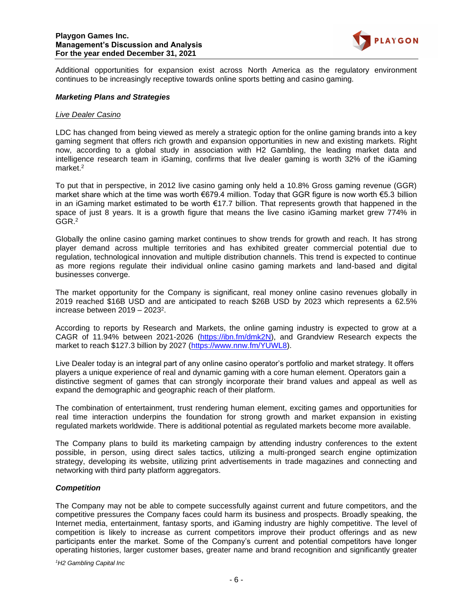

Additional opportunities for expansion exist across North America as the regulatory environment continues to be increasingly receptive towards online sports betting and casino gaming.

#### *Marketing Plans and Strategies*

#### *Live Dealer Casino*

LDC has changed from being viewed as merely a strategic option for the online gaming brands into a key gaming segment that offers rich growth and expansion opportunities in new and existing markets. Right now, according to a global study in association with H2 Gambling, the leading market data and intelligence research team in iGaming, confirms that live dealer gaming is worth 32% of the iGaming market. 2

To put that in perspective, in 2012 live casino gaming only held a 10.8% Gross gaming revenue (GGR) market share which at the time was worth €679.4 million. Today that GGR figure is now worth €5.3 billion in an iGaming market estimated to be worth €17.7 billion. That represents growth that happened in the space of just 8 years. It is a growth figure that means the live casino iGaming market grew 774% in GGR.<sup>2</sup>

Globally the online casino gaming market continues to show trends for growth and reach. It has strong player demand across multiple territories and has exhibited greater commercial potential due to regulation, technological innovation and multiple distribution channels. This trend is expected to continue as more regions regulate their individual online casino gaming markets and land-based and digital businesses converge.

The market opportunity for the Company is significant, real money online casino revenues globally in 2019 reached \$16B USD and are anticipated to reach \$26B USD by 2023 which represents a 62.5% increase between 2019 - 2023<sup>2</sup>.

According to reports by Research and Markets, the online gaming industry is expected to grow at a CAGR of 11.94% between 2021-2026 [\(https://ibn.fm/dmk2N\)](https://ibn.fm/dmk2N), and Grandview Research expects the market to reach \$127.3 billion by 2027 [\(https://www.nnw.fm/YUWL8\)](https://www.nnw.fm/YUWL8).

Live Dealer today is an integral part of any online casino operator's portfolio and market strategy. It offers players a unique experience of real and dynamic gaming with a core human element. Operators gain a distinctive segment of games that can strongly incorporate their brand values and appeal as well as expand the demographic and geographic reach of their platform.

The combination of entertainment, trust rendering human element, exciting games and opportunities for real time interaction underpins the foundation for strong growth and market expansion in existing regulated markets worldwide. There is additional potential as regulated markets become more available.

The Company plans to build its marketing campaign by attending industry conferences to the extent possible, in person, using direct sales tactics, utilizing a multi-pronged search engine optimization strategy, developing its website, utilizing print advertisements in trade magazines and connecting and networking with third party platform aggregators.

#### *Competition*

The Company may not be able to compete successfully against current and future competitors, and the competitive pressures the Company faces could harm its business and prospects. Broadly speaking, the Internet media, entertainment, fantasy sports, and iGaming industry are highly competitive. The level of competition is likely to increase as current competitors improve their product offerings and as new participants enter the market. Some of the Company's current and potential competitors have longer operating histories, larger customer bases, greater name and brand recognition and significantly greater

*<sup>1</sup>H2 Gambling Capital Inc*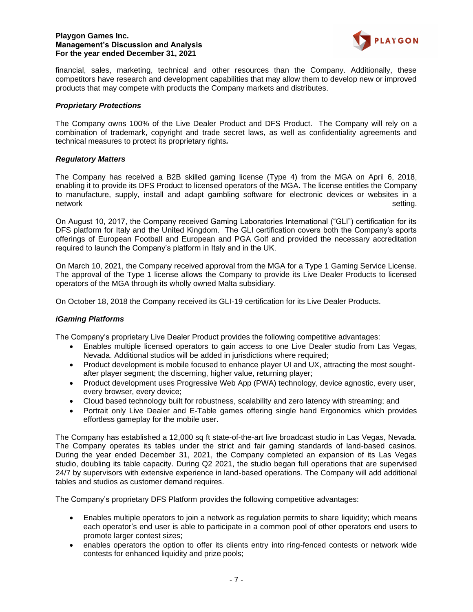

financial, sales, marketing, technical and other resources than the Company. Additionally, these competitors have research and development capabilities that may allow them to develop new or improved products that may compete with products the Company markets and distributes.

## *Proprietary Protections*

The Company owns 100% of the Live Dealer Product and DFS Product. The Company will rely on a combination of trademark, copyright and trade secret laws, as well as confidentiality agreements and technical measures to protect its proprietary rights*.* 

# *Regulatory Matters*

The Company has received a B2B skilled gaming license (Type 4) from the MGA on April 6, 2018, enabling it to provide its DFS Product to licensed operators of the MGA. The license entitles the Company to manufacture, supply, install and adapt gambling software for electronic devices or websites in a network setting.

On August 10, 2017, the Company received Gaming Laboratories International ("GLI") certification for its DFS platform for Italy and the United Kingdom. The GLI certification covers both the Company's sports offerings of European Football and European and PGA Golf and provided the necessary accreditation required to launch the Company's platform in Italy and in the UK.

On March 10, 2021, the Company received approval from the MGA for a Type 1 Gaming Service License. The approval of the Type 1 license allows the Company to provide its Live Dealer Products to licensed operators of the MGA through its wholly owned Malta subsidiary.

On October 18, 2018 the Company received its GLI-19 certification for its Live Dealer Products.

## *iGaming Platforms*

The Company's proprietary Live Dealer Product provides the following competitive advantages:

- Enables multiple licensed operators to gain access to one Live Dealer studio from Las Vegas, Nevada. Additional studios will be added in jurisdictions where required;
- Product development is mobile focused to enhance player UI and UX, attracting the most soughtafter player segment; the discerning, higher value, returning player;
- Product development uses Progressive Web App (PWA) technology, device agnostic, every user, every browser, every device;
- Cloud based technology built for robustness, scalability and zero latency with streaming; and
- Portrait only Live Dealer and E-Table games offering single hand Ergonomics which provides effortless gameplay for the mobile user.

The Company has established a 12,000 sq ft state-of-the-art live broadcast studio in Las Vegas, Nevada. The Company operates its tables under the strict and fair gaming standards of land-based casinos. During the year ended December 31, 2021, the Company completed an expansion of its Las Vegas studio, doubling its table capacity. During Q2 2021, the studio began full operations that are supervised 24/7 by supervisors with extensive experience in land-based operations. The Company will add additional tables and studios as customer demand requires.

The Company's proprietary DFS Platform provides the following competitive advantages:

- Enables multiple operators to join a network as regulation permits to share liquidity; which means each operator's end user is able to participate in a common pool of other operators end users to promote larger contest sizes;
- enables operators the option to offer its clients entry into ring-fenced contests or network wide contests for enhanced liquidity and prize pools;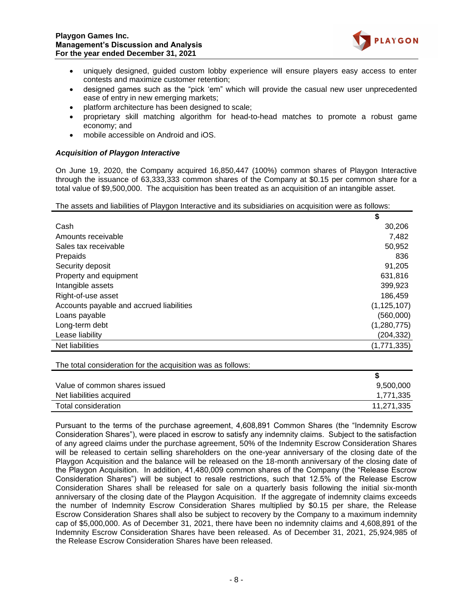

- uniquely designed, guided custom lobby experience will ensure players easy access to enter contests and maximize customer retention;
- designed games such as the "pick 'em" which will provide the casual new user unprecedented ease of entry in new emerging markets;
- platform architecture has been designed to scale;
- proprietary skill matching algorithm for head-to-head matches to promote a robust game economy; and
- mobile accessible on Android and iOS.

## *Acquisition of Playgon Interactive*

On June 19, 2020, the Company acquired 16,850,447 (100%) common shares of Playgon Interactive through the issuance of 63,333,333 common shares of the Company at \$0.15 per common share for a total value of \$9,500,000. The acquisition has been treated as an acquisition of an intangible asset.

The assets and liabilities of Playgon Interactive and its subsidiaries on acquisition were as follows:

|                                          | \$            |
|------------------------------------------|---------------|
| Cash                                     | 30,206        |
| Amounts receivable                       | 7,482         |
| Sales tax receivable                     | 50,952        |
| Prepaids                                 | 836           |
| Security deposit                         | 91,205        |
| Property and equipment                   | 631,816       |
| Intangible assets                        | 399,923       |
| Right-of-use asset                       | 186,459       |
| Accounts payable and accrued liabilities | (1, 125, 107) |
| Loans payable                            | (560,000)     |
| Long-term debt                           | (1,280,775)   |
| Lease liability                          | (204,332)     |
| Net liabilities                          | (1,771,335)   |

The total consideration for the acquisition was as follows:

| Value of common shares issued | 9,500,000  |
|-------------------------------|------------|
| Net liabilities acquired      | 1,771,335  |
| Total consideration           | 11,271,335 |

Pursuant to the terms of the purchase agreement, 4,608,891 Common Shares (the "Indemnity Escrow Consideration Shares"), were placed in escrow to satisfy any indemnity claims. Subject to the satisfaction of any agreed claims under the purchase agreement, 50% of the Indemnity Escrow Consideration Shares will be released to certain selling shareholders on the one-year anniversary of the closing date of the Playgon Acquisition and the balance will be released on the 18-month anniversary of the closing date of the Playgon Acquisition. In addition, 41,480,009 common shares of the Company (the "Release Escrow Consideration Shares") will be subject to resale restrictions, such that 12.5% of the Release Escrow Consideration Shares shall be released for sale on a quarterly basis following the initial six-month anniversary of the closing date of the Playgon Acquisition. If the aggregate of indemnity claims exceeds the number of Indemnity Escrow Consideration Shares multiplied by \$0.15 per share, the Release Escrow Consideration Shares shall also be subject to recovery by the Company to a maximum indemnity cap of \$5,000,000. As of December 31, 2021, there have been no indemnity claims and 4,608,891 of the Indemnity Escrow Consideration Shares have been released. As of December 31, 2021, 25,924,985 of the Release Escrow Consideration Shares have been released.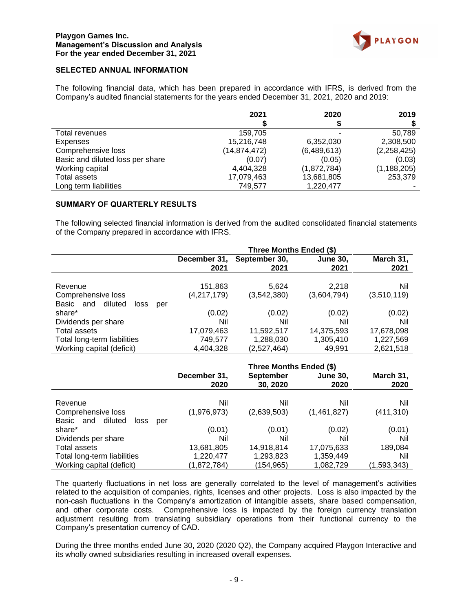

# **SELECTED ANNUAL INFORMATION**

The following financial data, which has been prepared in accordance with IFRS, is derived from the Company's audited financial statements for the years ended December 31, 2021, 2020 and 2019:

|                                  | 2021           | 2020        | 2019          |
|----------------------------------|----------------|-------------|---------------|
|                                  |                |             |               |
| Total revenues                   | 159.705        |             | 50.789        |
| Expenses                         | 15,216,748     | 6,352,030   | 2,308,500     |
| Comprehensive loss               | (14, 874, 472) | (6,489,613) | (2,258,425)   |
| Basic and diluted loss per share | (0.07)         | (0.05)      | (0.03)        |
| Working capital                  | 4,404,328      | (1,872,784) | (1, 188, 205) |
| Total assets                     | 17,079,463     | 13,681,805  | 253,379       |
| Long term liabilities            | 749,577        | 1,220,477   |               |

#### **SUMMARY OF QUARTERLY RESULTS**

The following selected financial information is derived from the audited consolidated financial statements of the Company prepared in accordance with IFRS.

|                                                                          | Three Months Ended (\$)            |                                        |                                   |                                      |
|--------------------------------------------------------------------------|------------------------------------|----------------------------------------|-----------------------------------|--------------------------------------|
|                                                                          | December 31,<br>2021               | September 30,<br>2021                  | <b>June 30,</b><br>2021           | March 31,<br>2021                    |
| Revenue<br>Comprehensive loss<br>diluted<br>Basic and                    | 151,863<br>(4,217,179)             | 5,624<br>(3,542,380)                   | 2,218<br>(3,604,794)              | Nil<br>(3,510,119)                   |
| loss<br>per<br>share*<br>Dividends per share                             | (0.02)<br>Nil                      | (0.02)<br>Nil                          | (0.02)<br>Nil                     | (0.02)<br>Nil                        |
| Total assets<br>Total long-term liabilities<br>Working capital (deficit) | 17,079,463<br>749,577<br>4,404,328 | 11,592,517<br>1,288,030<br>(2,527,464) | 14,375,593<br>1,305,410<br>49.991 | 17,678,098<br>1,227,569<br>2,621,518 |

|                                     | Three Months Ended (\$) |                  |                 |             |
|-------------------------------------|-------------------------|------------------|-----------------|-------------|
|                                     | December 31,            | <b>September</b> | <b>June 30,</b> | March 31,   |
|                                     | 2020                    | 30, 2020         | 2020            | 2020        |
| Revenue                             | Nil                     | Nil              | Nil             | Nil         |
| Comprehensive loss                  | (1,976,973)             | (2,639,503)      | (1,461,827)     | (411, 310)  |
| diluted<br>Basic and<br>loss<br>per |                         |                  |                 |             |
| share*                              | (0.01)                  | (0.01)           | (0.02)          | (0.01)      |
| Dividends per share                 | Nil                     | Nil              | Nil             | Nil         |
| Total assets                        | 13,681,805              | 14,918,814       | 17,075,633      | 189,084     |
| Total long-term liabilities         | 1,220,477               | 1,293,823        | 1,359,449       | Nil         |
| Working capital (deficit)           | (1,872,784)             | (154,965)        | 1,082,729       | (1,593,343) |

The quarterly fluctuations in net loss are generally correlated to the level of management's activities related to the acquisition of companies, rights, licenses and other projects. Loss is also impacted by the non-cash fluctuations in the Company's amortization of intangible assets, share based compensation, and other corporate costs. Comprehensive loss is impacted by the foreign currency translation adjustment resulting from translating subsidiary operations from their functional currency to the Company's presentation currency of CAD.

During the three months ended June 30, 2020 (2020 Q2), the Company acquired Playgon Interactive and its wholly owned subsidiaries resulting in increased overall expenses.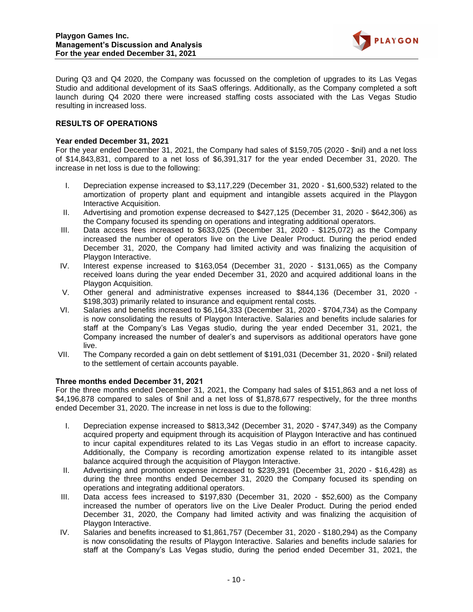

During Q3 and Q4 2020, the Company was focussed on the completion of upgrades to its Las Vegas Studio and additional development of its SaaS offerings. Additionally, as the Company completed a soft launch during Q4 2020 there were increased staffing costs associated with the Las Vegas Studio resulting in increased loss.

# **RESULTS OF OPERATIONS**

## **Year ended December 31, 2021**

For the year ended December 31, 2021, the Company had sales of \$159,705 (2020 - \$nil) and a net loss of \$14,843,831, compared to a net loss of \$6,391,317 for the year ended December 31, 2020. The increase in net loss is due to the following:

- I. Depreciation expense increased to \$3,117,229 (December 31, 2020 \$1,600,532) related to the amortization of property plant and equipment and intangible assets acquired in the Playgon Interactive Acquisition.
- II. Advertising and promotion expense decreased to \$427,125 (December 31, 2020 \$642,306) as the Company focused its spending on operations and integrating additional operators.
- III. Data access fees increased to \$633,025 (December 31, 2020 \$125,072) as the Company increased the number of operators live on the Live Dealer Product. During the period ended December 31, 2020, the Company had limited activity and was finalizing the acquisition of Playgon Interactive.
- IV. Interest expense increased to \$163,054 (December 31, 2020 \$131,065) as the Company received loans during the year ended December 31, 2020 and acquired additional loans in the Playgon Acquisition.
- V. Other general and administrative expenses increased to \$844,136 (December 31, 2020 \$198,303) primarily related to insurance and equipment rental costs.
- VI. Salaries and benefits increased to \$6,164,333 (December 31, 2020 \$704,734) as the Company is now consolidating the results of Playgon Interactive. Salaries and benefits include salaries for staff at the Company's Las Vegas studio, during the year ended December 31, 2021, the Company increased the number of dealer's and supervisors as additional operators have gone live.
- VII. The Company recorded a gain on debt settlement of \$191,031 (December 31, 2020 \$nil) related to the settlement of certain accounts payable.

## **Three months ended December 31, 2021**

For the three months ended December 31, 2021, the Company had sales of \$151,863 and a net loss of \$4,196,878 compared to sales of \$nil and a net loss of \$1,878,677 respectively, for the three months ended December 31, 2020. The increase in net loss is due to the following:

- I. Depreciation expense increased to \$813,342 (December 31, 2020 \$747,349) as the Company acquired property and equipment through its acquisition of Playgon Interactive and has continued to incur capital expenditures related to its Las Vegas studio in an effort to increase capacity. Additionally, the Company is recording amortization expense related to its intangible asset balance acquired through the acquisition of Playgon Interactive.
- II. Advertising and promotion expense increased to \$239,391 (December 31, 2020 \$16,428) as during the three months ended December 31, 2020 the Company focused its spending on operations and integrating additional operators.
- III. Data access fees increased to \$197,830 (December 31, 2020 \$52,600) as the Company increased the number of operators live on the Live Dealer Product. During the period ended December 31, 2020, the Company had limited activity and was finalizing the acquisition of Playgon Interactive.
- IV. Salaries and benefits increased to \$1,861,757 (December 31, 2020 \$180,294) as the Company is now consolidating the results of Playgon Interactive. Salaries and benefits include salaries for staff at the Company's Las Vegas studio, during the period ended December 31, 2021, the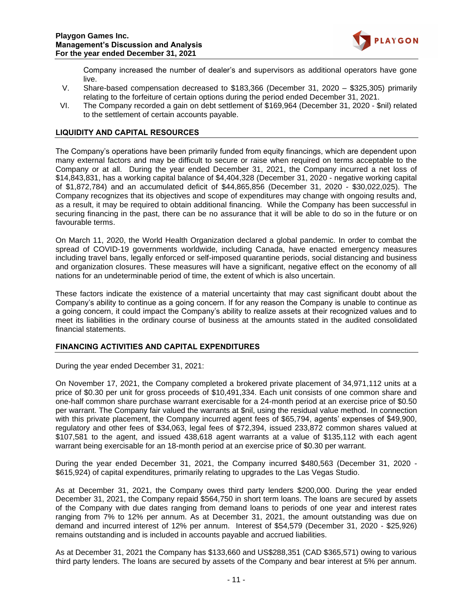

Company increased the number of dealer's and supervisors as additional operators have gone live.

- V. Share-based compensation decreased to \$183,366 (December 31, 2020 \$325,305) primarily relating to the forfeiture of certain options during the period ended December 31, 2021.
- VI. The Company recorded a gain on debt settlement of \$169,964 (December 31, 2020 \$nil) related to the settlement of certain accounts payable.

# **LIQUIDITY AND CAPITAL RESOURCES**

The Company's operations have been primarily funded from equity financings, which are dependent upon many external factors and may be difficult to secure or raise when required on terms acceptable to the Company or at all. During the year ended December 31, 2021, the Company incurred a net loss of \$14,843,831, has a working capital balance of \$4,404,328 (December 31, 2020 - negative working capital of \$1,872,784) and an accumulated deficit of \$44,865,856 (December 31, 2020 - \$30,022,025). The Company recognizes that its objectives and scope of expenditures may change with ongoing results and, as a result, it may be required to obtain additional financing. While the Company has been successful in securing financing in the past, there can be no assurance that it will be able to do so in the future or on favourable terms.

On March 11, 2020, the World Health Organization declared a global pandemic. In order to combat the spread of COVID-19 governments worldwide, including Canada, have enacted emergency measures including travel bans, legally enforced or self-imposed quarantine periods, social distancing and business and organization closures. These measures will have a significant, negative effect on the economy of all nations for an undeterminable period of time, the extent of which is also uncertain.

These factors indicate the existence of a material uncertainty that may cast significant doubt about the Company's ability to continue as a going concern. If for any reason the Company is unable to continue as a going concern, it could impact the Company's ability to realize assets at their recognized values and to meet its liabilities in the ordinary course of business at the amounts stated in the audited consolidated financial statements.

## **FINANCING ACTIVITIES AND CAPITAL EXPENDITURES**

During the year ended December 31, 2021:

On November 17, 2021, the Company completed a brokered private placement of 34,971,112 units at a price of \$0.30 per unit for gross proceeds of \$10,491,334. Each unit consists of one common share and one-half common share purchase warrant exercisable for a 24-month period at an exercise price of \$0.50 per warrant. The Company fair valued the warrants at \$nil, using the residual value method. In connection with this private placement, the Company incurred agent fees of \$65,794, agents' expenses of \$49,900, regulatory and other fees of \$34,063, legal fees of \$72,394, issued 233,872 common shares valued at \$107,581 to the agent, and issued 438,618 agent warrants at a value of \$135,112 with each agent warrant being exercisable for an 18-month period at an exercise price of \$0.30 per warrant.

During the year ended December 31, 2021, the Company incurred \$480,563 (December 31, 2020 - \$615,924) of capital expenditures, primarily relating to upgrades to the Las Vegas Studio.

As at December 31, 2021, the Company owes third party lenders \$200,000. During the year ended December 31, 2021, the Company repaid \$564,750 in short term loans. The loans are secured by assets of the Company with due dates ranging from demand loans to periods of one year and interest rates ranging from 7% to 12% per annum. As at December 31, 2021, the amount outstanding was due on demand and incurred interest of 12% per annum. Interest of \$54,579 (December 31, 2020 - \$25,926) remains outstanding and is included in accounts payable and accrued liabilities.

As at December 31, 2021 the Company has \$133,660 and US\$288,351 (CAD \$365,571) owing to various third party lenders. The loans are secured by assets of the Company and bear interest at 5% per annum.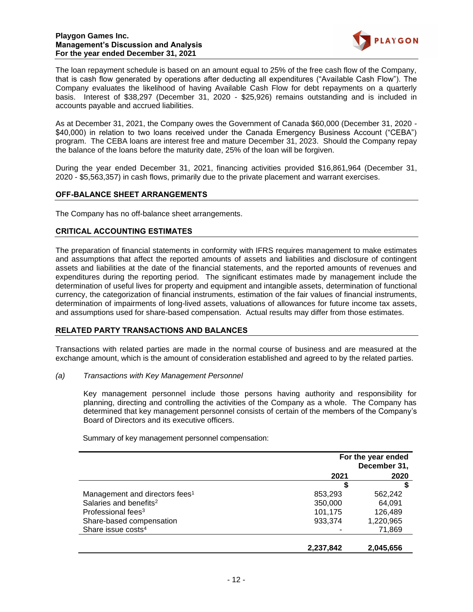

The loan repayment schedule is based on an amount equal to 25% of the free cash flow of the Company, that is cash flow generated by operations after deducting all expenditures ("Available Cash Flow"). The Company evaluates the likelihood of having Available Cash Flow for debt repayments on a quarterly basis. Interest of \$38,297 (December 31, 2020 - \$25,926) remains outstanding and is included in accounts payable and accrued liabilities.

As at December 31, 2021, the Company owes the Government of Canada \$60,000 (December 31, 2020 - \$40,000) in relation to two loans received under the Canada Emergency Business Account ("CEBA") program. The CEBA loans are interest free and mature December 31, 2023. Should the Company repay the balance of the loans before the maturity date, 25% of the loan will be forgiven.

During the year ended December 31, 2021, financing activities provided \$16,861,964 (December 31, 2020 - \$5,563,357) in cash flows, primarily due to the private placement and warrant exercises.

## **OFF-BALANCE SHEET ARRANGEMENTS**

The Company has no off-balance sheet arrangements.

# **CRITICAL ACCOUNTING ESTIMATES**

The preparation of financial statements in conformity with IFRS requires management to make estimates and assumptions that affect the reported amounts of assets and liabilities and disclosure of contingent assets and liabilities at the date of the financial statements, and the reported amounts of revenues and expenditures during the reporting period. The significant estimates made by management include the determination of useful lives for property and equipment and intangible assets, determination of functional currency, the categorization of financial instruments, estimation of the fair values of financial instruments, determination of impairments of long-lived assets, valuations of allowances for future income tax assets, and assumptions used for share-based compensation. Actual results may differ from those estimates.

## **RELATED PARTY TRANSACTIONS AND BALANCES**

Transactions with related parties are made in the normal course of business and are measured at the exchange amount, which is the amount of consideration established and agreed to by the related parties.

*(a) Transactions with Key Management Personnel*

Key management personnel include those persons having authority and responsibility for planning, directing and controlling the activities of the Company as a whole. The Company has determined that key management personnel consists of certain of the members of the Company's Board of Directors and its executive officers.

Summary of key management personnel compensation:

|                                            | For the year ended<br>December 31, |           |
|--------------------------------------------|------------------------------------|-----------|
|                                            | 2021                               | 2020      |
|                                            | S                                  |           |
| Management and directors fees <sup>1</sup> | 853,293                            | 562.242   |
| Salaries and benefits <sup>2</sup>         | 350,000                            | 64.091    |
| Professional fees <sup>3</sup>             | 101,175                            | 126,489   |
| Share-based compensation                   | 933,374                            | 1,220,965 |
| Share issue costs <sup>4</sup>             |                                    | 71,869    |
|                                            |                                    |           |
|                                            | 2,237,842                          | 2,045,656 |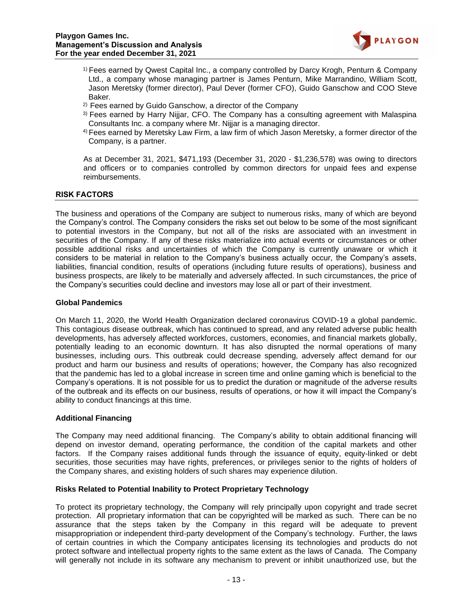

- 1) Fees earned by Qwest Capital Inc., a company controlled by Darcy Krogh, Penturn & Company Ltd., a company whose managing partner is James Penturn, Mike Marrandino, William Scott, Jason Meretsky (former director), Paul Dever (former CFO), Guido Ganschow and COO Steve Baker.
- 2) Fees earned by Guido Ganschow, a director of the Company
- 3) Fees earned by Harry Nijjar, CFO. The Company has a consulting agreement with Malaspina Consultants Inc. a company where Mr. Nijjar is a managing director.
- 4) Fees earned by Meretsky Law Firm, a law firm of which Jason Meretsky, a former director of the Company, is a partner.

As at December 31, 2021, \$471,193 (December 31, 2020 - \$1,236,578) was owing to directors and officers or to companies controlled by common directors for unpaid fees and expense reimbursements.

# **RISK FACTORS**

The business and operations of the Company are subject to numerous risks, many of which are beyond the Company's control. The Company considers the risks set out below to be some of the most significant to potential investors in the Company, but not all of the risks are associated with an investment in securities of the Company. If any of these risks materialize into actual events or circumstances or other possible additional risks and uncertainties of which the Company is currently unaware or which it considers to be material in relation to the Company's business actually occur, the Company's assets, liabilities, financial condition, results of operations (including future results of operations), business and business prospects, are likely to be materially and adversely affected. In such circumstances, the price of the Company's securities could decline and investors may lose all or part of their investment.

## **Global Pandemics**

On March 11, 2020, the World Health Organization declared coronavirus COVID-19 a global pandemic. This contagious disease outbreak, which has continued to spread, and any related adverse public health developments, has adversely affected workforces, customers, economies, and financial markets globally, potentially leading to an economic downturn. It has also disrupted the normal operations of many businesses, including ours. This outbreak could decrease spending, adversely affect demand for our product and harm our business and results of operations; however, the Company has also recognized that the pandemic has led to a global increase in screen time and online gaming which is beneficial to the Company's operations. It is not possible for us to predict the duration or magnitude of the adverse results of the outbreak and its effects on our business, results of operations, or how it will impact the Company's ability to conduct financings at this time.

## **Additional Financing**

The Company may need additional financing. The Company's ability to obtain additional financing will depend on investor demand, operating performance, the condition of the capital markets and other factors. If the Company raises additional funds through the issuance of equity, equity-linked or debt securities, those securities may have rights, preferences, or privileges senior to the rights of holders of the Company shares, and existing holders of such shares may experience dilution.

## **Risks Related to Potential Inability to Protect Proprietary Technology**

To protect its proprietary technology, the Company will rely principally upon copyright and trade secret protection. All proprietary information that can be copyrighted will be marked as such. There can be no assurance that the steps taken by the Company in this regard will be adequate to prevent misappropriation or independent third-party development of the Company's technology. Further, the laws of certain countries in which the Company anticipates licensing its technologies and products do not protect software and intellectual property rights to the same extent as the laws of Canada. The Company will generally not include in its software any mechanism to prevent or inhibit unauthorized use, but the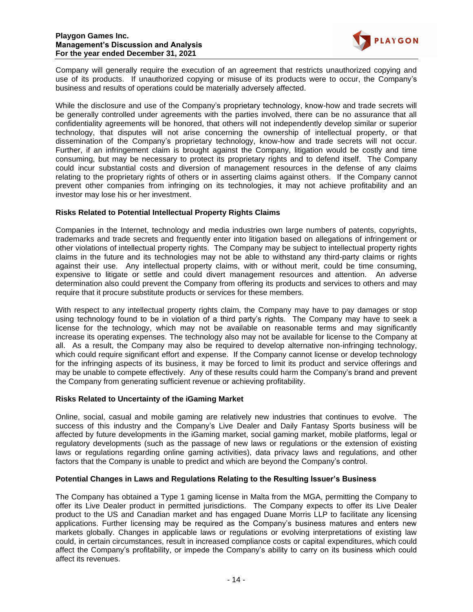

Company will generally require the execution of an agreement that restricts unauthorized copying and use of its products. If unauthorized copying or misuse of its products were to occur, the Company's business and results of operations could be materially adversely affected.

While the disclosure and use of the Company's proprietary technology, know-how and trade secrets will be generally controlled under agreements with the parties involved, there can be no assurance that all confidentiality agreements will be honored, that others will not independently develop similar or superior technology, that disputes will not arise concerning the ownership of intellectual property, or that dissemination of the Company's proprietary technology, know-how and trade secrets will not occur. Further, if an infringement claim is brought against the Company, litigation would be costly and time consuming, but may be necessary to protect its proprietary rights and to defend itself. The Company could incur substantial costs and diversion of management resources in the defense of any claims relating to the proprietary rights of others or in asserting claims against others. If the Company cannot prevent other companies from infringing on its technologies, it may not achieve profitability and an investor may lose his or her investment.

# **Risks Related to Potential Intellectual Property Rights Claims**

Companies in the Internet, technology and media industries own large numbers of patents, copyrights, trademarks and trade secrets and frequently enter into litigation based on allegations of infringement or other violations of intellectual property rights. The Company may be subject to intellectual property rights claims in the future and its technologies may not be able to withstand any third-party claims or rights against their use. Any intellectual property claims, with or without merit, could be time consuming, expensive to litigate or settle and could divert management resources and attention. An adverse determination also could prevent the Company from offering its products and services to others and may require that it procure substitute products or services for these members.

With respect to any intellectual property rights claim, the Company may have to pay damages or stop using technology found to be in violation of a third party's rights. The Company may have to seek a license for the technology, which may not be available on reasonable terms and may significantly increase its operating expenses. The technology also may not be available for license to the Company at all. As a result, the Company may also be required to develop alternative non-infringing technology, which could require significant effort and expense. If the Company cannot license or develop technology for the infringing aspects of its business, it may be forced to limit its product and service offerings and may be unable to compete effectively. Any of these results could harm the Company's brand and prevent the Company from generating sufficient revenue or achieving profitability.

## **Risks Related to Uncertainty of the iGaming Market**

Online, social, casual and mobile gaming are relatively new industries that continues to evolve. The success of this industry and the Company's Live Dealer and Daily Fantasy Sports business will be affected by future developments in the iGaming market, social gaming market, mobile platforms, legal or regulatory developments (such as the passage of new laws or regulations or the extension of existing laws or regulations regarding online gaming activities), data privacy laws and regulations, and other factors that the Company is unable to predict and which are beyond the Company's control.

## **Potential Changes in Laws and Regulations Relating to the Resulting Issuer's Business**

The Company has obtained a Type 1 gaming license in Malta from the MGA, permitting the Company to offer its Live Dealer product in permitted jurisdictions. The Company expects to offer its Live Dealer product to the US and Canadian market and has engaged Duane Morris LLP to facilitate any licensing applications. Further licensing may be required as the Company's business matures and enters new markets globally. Changes in applicable laws or regulations or evolving interpretations of existing law could, in certain circumstances, result in increased compliance costs or capital expenditures, which could affect the Company's profitability, or impede the Company's ability to carry on its business which could affect its revenues.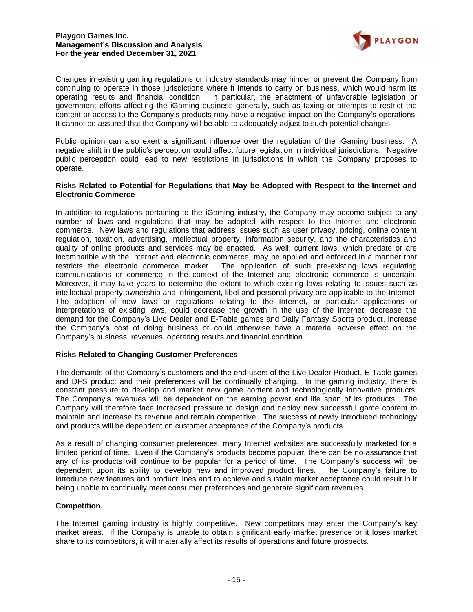

Changes in existing gaming regulations or industry standards may hinder or prevent the Company from continuing to operate in those jurisdictions where it intends to carry on business, which would harm its operating results and financial condition. In particular, the enactment of unfavorable legislation or government efforts affecting the iGaming business generally, such as taxing or attempts to restrict the content or access to the Company's products may have a negative impact on the Company's operations. It cannot be assured that the Company will be able to adequately adjust to such potential changes.

Public opinion can also exert a significant influence over the regulation of the iGaming business. A negative shift in the public's perception could affect future legislation in individual jurisdictions. Negative public perception could lead to new restrictions in jurisdictions in which the Company proposes to operate.

## **Risks Related to Potential for Regulations that May be Adopted with Respect to the Internet and Electronic Commerce**

In addition to regulations pertaining to the iGaming industry, the Company may become subject to any number of laws and regulations that may be adopted with respect to the Internet and electronic commerce. New laws and regulations that address issues such as user privacy, pricing, online content regulation, taxation, advertising, intellectual property, information security, and the characteristics and quality of online products and services may be enacted. As well, current laws, which predate or are incompatible with the Internet and electronic commerce, may be applied and enforced in a manner that restricts the electronic commerce market. The application of such pre-existing laws regulating communications or commerce in the context of the Internet and electronic commerce is uncertain. Moreover, it may take years to determine the extent to which existing laws relating to issues such as intellectual property ownership and infringement, libel and personal privacy are applicable to the Internet. The adoption of new laws or regulations relating to the Internet, or particular applications or interpretations of existing laws, could decrease the growth in the use of the Internet, decrease the demand for the Company's Live Dealer and E-Table games and Daily Fantasy Sports product, increase the Company's cost of doing business or could otherwise have a material adverse effect on the Company's business, revenues, operating results and financial condition.

## **Risks Related to Changing Customer Preferences**

The demands of the Company's customers and the end users of the Live Dealer Product, E-Table games and DFS product and their preferences will be continually changing. In the gaming industry, there is constant pressure to develop and market new game content and technologically innovative products. The Company's revenues will be dependent on the earning power and life span of its products. The Company will therefore face increased pressure to design and deploy new successful game content to maintain and increase its revenue and remain competitive. The success of newly introduced technology and products will be dependent on customer acceptance of the Company's products.

As a result of changing consumer preferences, many Internet websites are successfully marketed for a limited period of time. Even if the Company's products become popular, there can be no assurance that any of its products will continue to be popular for a period of time. The Company's success will be dependent upon its ability to develop new and improved product lines. The Company's failure to introduce new features and product lines and to achieve and sustain market acceptance could result in it being unable to continually meet consumer preferences and generate significant revenues.

## **Competition**

The Internet gaming industry is highly competitive. New competitors may enter the Company's key market areas. If the Company is unable to obtain significant early market presence or it loses market share to its competitors, it will materially affect its results of operations and future prospects.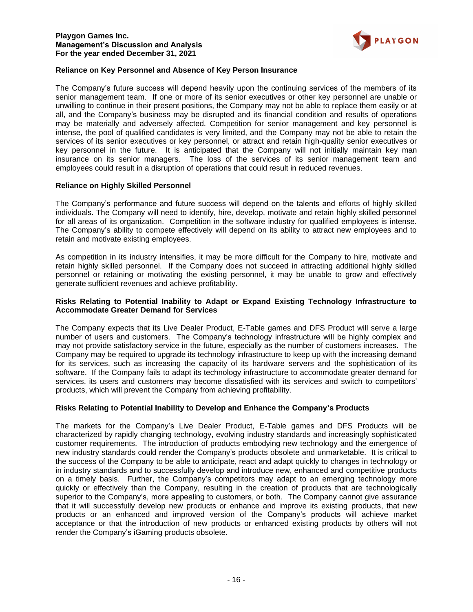

# **Reliance on Key Personnel and Absence of Key Person Insurance**

The Company's future success will depend heavily upon the continuing services of the members of its senior management team. If one or more of its senior executives or other key personnel are unable or unwilling to continue in their present positions, the Company may not be able to replace them easily or at all, and the Company's business may be disrupted and its financial condition and results of operations may be materially and adversely affected. Competition for senior management and key personnel is intense, the pool of qualified candidates is very limited, and the Company may not be able to retain the services of its senior executives or key personnel, or attract and retain high-quality senior executives or key personnel in the future. It is anticipated that the Company will not initially maintain key man insurance on its senior managers. The loss of the services of its senior management team and employees could result in a disruption of operations that could result in reduced revenues.

## **Reliance on Highly Skilled Personnel**

The Company's performance and future success will depend on the talents and efforts of highly skilled individuals. The Company will need to identify, hire, develop, motivate and retain highly skilled personnel for all areas of its organization. Competition in the software industry for qualified employees is intense. The Company's ability to compete effectively will depend on its ability to attract new employees and to retain and motivate existing employees.

As competition in its industry intensifies, it may be more difficult for the Company to hire, motivate and retain highly skilled personnel. If the Company does not succeed in attracting additional highly skilled personnel or retaining or motivating the existing personnel, it may be unable to grow and effectively generate sufficient revenues and achieve profitability.

## **Risks Relating to Potential Inability to Adapt or Expand Existing Technology Infrastructure to Accommodate Greater Demand for Services**

The Company expects that its Live Dealer Product, E-Table games and DFS Product will serve a large number of users and customers. The Company's technology infrastructure will be highly complex and may not provide satisfactory service in the future, especially as the number of customers increases. The Company may be required to upgrade its technology infrastructure to keep up with the increasing demand for its services, such as increasing the capacity of its hardware servers and the sophistication of its software. If the Company fails to adapt its technology infrastructure to accommodate greater demand for services, its users and customers may become dissatisfied with its services and switch to competitors' products, which will prevent the Company from achieving profitability.

## **Risks Relating to Potential Inability to Develop and Enhance the Company's Products**

The markets for the Company's Live Dealer Product, E-Table games and DFS Products will be characterized by rapidly changing technology, evolving industry standards and increasingly sophisticated customer requirements. The introduction of products embodying new technology and the emergence of new industry standards could render the Company's products obsolete and unmarketable. It is critical to the success of the Company to be able to anticipate, react and adapt quickly to changes in technology or in industry standards and to successfully develop and introduce new, enhanced and competitive products on a timely basis. Further, the Company's competitors may adapt to an emerging technology more quickly or effectively than the Company, resulting in the creation of products that are technologically superior to the Company's, more appealing to customers, or both. The Company cannot give assurance that it will successfully develop new products or enhance and improve its existing products, that new products or an enhanced and improved version of the Company's products will achieve market acceptance or that the introduction of new products or enhanced existing products by others will not render the Company's iGaming products obsolete.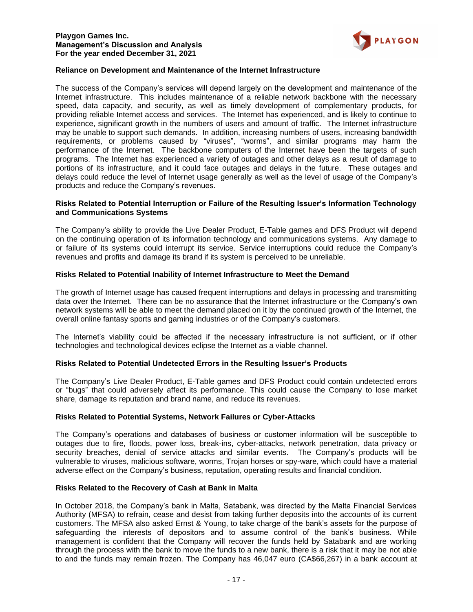

# **Reliance on Development and Maintenance of the Internet Infrastructure**

The success of the Company's services will depend largely on the development and maintenance of the Internet infrastructure. This includes maintenance of a reliable network backbone with the necessary speed, data capacity, and security, as well as timely development of complementary products, for providing reliable Internet access and services. The Internet has experienced, and is likely to continue to experience, significant growth in the numbers of users and amount of traffic. The Internet infrastructure may be unable to support such demands. In addition, increasing numbers of users, increasing bandwidth requirements, or problems caused by "viruses", "worms", and similar programs may harm the performance of the Internet. The backbone computers of the Internet have been the targets of such programs. The Internet has experienced a variety of outages and other delays as a result of damage to portions of its infrastructure, and it could face outages and delays in the future. These outages and delays could reduce the level of Internet usage generally as well as the level of usage of the Company's products and reduce the Company's revenues.

#### **Risks Related to Potential Interruption or Failure of the Resulting Issuer's Information Technology and Communications Systems**

The Company's ability to provide the Live Dealer Product, E-Table games and DFS Product will depend on the continuing operation of its information technology and communications systems. Any damage to or failure of its systems could interrupt its service. Service interruptions could reduce the Company's revenues and profits and damage its brand if its system is perceived to be unreliable.

## **Risks Related to Potential Inability of Internet Infrastructure to Meet the Demand**

The growth of Internet usage has caused frequent interruptions and delays in processing and transmitting data over the Internet. There can be no assurance that the Internet infrastructure or the Company's own network systems will be able to meet the demand placed on it by the continued growth of the Internet, the overall online fantasy sports and gaming industries or of the Company's customers.

The Internet's viability could be affected if the necessary infrastructure is not sufficient, or if other technologies and technological devices eclipse the Internet as a viable channel.

## **Risks Related to Potential Undetected Errors in the Resulting Issuer's Products**

The Company's Live Dealer Product, E-Table games and DFS Product could contain undetected errors or "bugs" that could adversely affect its performance. This could cause the Company to lose market share, damage its reputation and brand name, and reduce its revenues.

#### **Risks Related to Potential Systems, Network Failures or Cyber-Attacks**

The Company's operations and databases of business or customer information will be susceptible to outages due to fire, floods, power loss, break-ins, cyber-attacks, network penetration, data privacy or security breaches, denial of service attacks and similar events. The Company's products will be vulnerable to viruses, malicious software, worms, Trojan horses or spy-ware, which could have a material adverse effect on the Company's business, reputation, operating results and financial condition.

#### **Risks Related to the Recovery of Cash at Bank in Malta**

In October 2018, the Company's bank in Malta, Satabank, was directed by the Malta Financial Services Authority (MFSA) to refrain, cease and desist from taking further deposits into the accounts of its current customers. The MFSA also asked Ernst & Young, to take charge of the bank's assets for the purpose of safeguarding the interests of depositors and to assume control of the bank's business. While management is confident that the Company will recover the funds held by Satabank and are working through the process with the bank to move the funds to a new bank, there is a risk that it may be not able to and the funds may remain frozen. The Company has 46,047 euro (CA\$66,267) in a bank account at